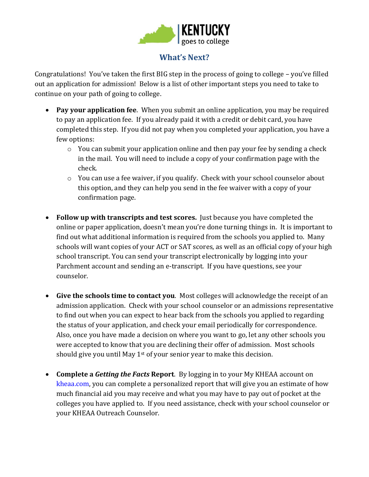

## **What's Next?**

Congratulations! You've taken the first BIG step in the process of going to college – you've filled out an application for admission! Below is a list of other important steps you need to take to continue on your path of going to college.

- **Pay your application fee**. When you submit an online application, you may be required to pay an application fee. If you already paid it with a credit or debit card, you have completed this step. If you did not pay when you completed your application, you have a few options:
	- o You can submit your application online and then pay your fee by sending a check in the mail. You will need to include a copy of your confirmation page with the check.
	- o You can use a fee waiver, if you qualify. Check with your school counselor about this option, and they can help you send in the fee waiver with a copy of your confirmation page.
- **Follow up with transcripts and test scores.** Just because you have completed the online or paper application, doesn't mean you're done turning things in. It is important to find out what additional information is required from the schools you applied to. Many schools will want copies of your ACT or SAT scores, as well as an official copy of your high school transcript. You can send your transcript electronically by logging into your Parchment account and sending an e-transcript. If you have questions, see your counselor.
- **Give the schools time to contact you**. Most colleges will acknowledge the receipt of an admission application. Check with your school counselor or an admissions representative to find out when you can expect to hear back from the schools you applied to regarding the status of your application, and check your email periodically for correspondence. Also, once you have made a decision on where you want to go, let any other schools you were accepted to know that you are declining their offer of admission. Most schools should give you until May  $1<sup>st</sup>$  of your senior year to make this decision.
- **Complete a** *Getting the Facts* **Report**. By logging in to your My KHEAA account on [kheaa.com,](http://www.kheaa.com/) you can complete a personalized report that will give you an estimate of how much financial aid you may receive and what you may have to pay out of pocket at the colleges you have applied to. If you need assistance, check with your school counselor or your KHEAA Outreach Counselor.